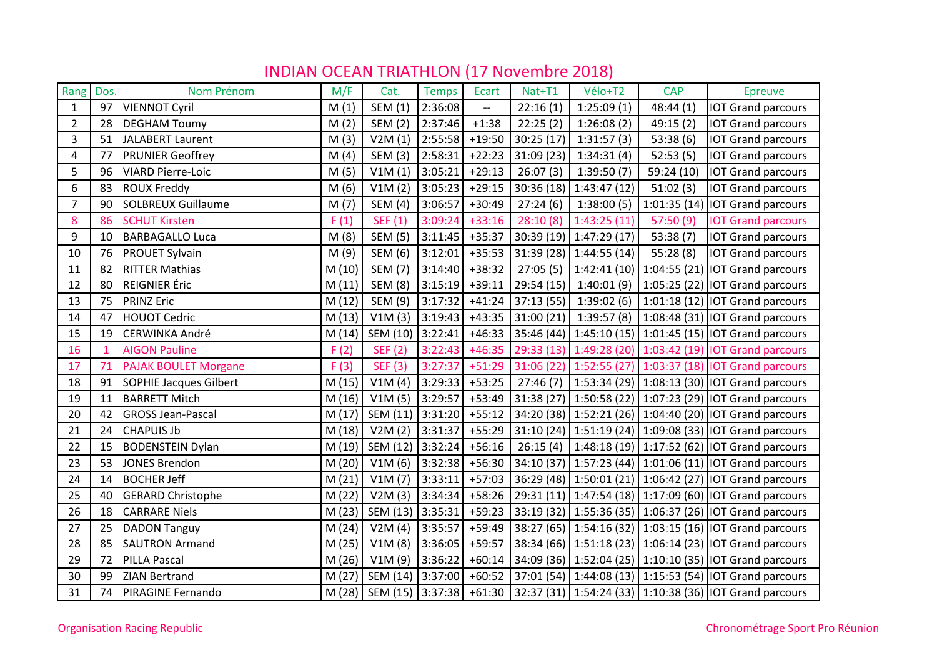| Rang           | Dos.         | Nom Prénom                    | M/F    | Cat.                    | <b>Temps</b> | Ecart                             | Nat+T1    | Vélo+T2                  | <b>CAP</b> | <b>Epreuve</b>                                          |
|----------------|--------------|-------------------------------|--------|-------------------------|--------------|-----------------------------------|-----------|--------------------------|------------|---------------------------------------------------------|
| $\mathbf{1}$   | 97           | <b>VIENNOT Cyril</b>          | M(1)   | SEM (1)                 | 2:36:08      | $\hspace{0.05cm} \dashrightarrow$ | 22:16(1)  | 1:25:09(1)               | 48:44(1)   | <b>IOT Grand parcours</b>                               |
| $\overline{2}$ | 28           | <b>DEGHAM Toumy</b>           | M(2)   | SEM (2)                 | 2:37:46      | $+1:38$                           | 22:25(2)  | 1:26:08(2)               | 49:15(2)   | <b>IOT Grand parcours</b>                               |
| 3              | 51           | <b>JALABERT Laurent</b>       | M(3)   | V2M(1)                  | 2:55:58      | $+19:50$                          | 30:25(17) | 1:31:57(3)               | 53:38(6)   | <b>IOT Grand parcours</b>                               |
| 4              | 77           | <b>PRUNIER Geoffrey</b>       | M(4)   | SEM (3)                 | 2:58:31      | $+22:23$                          | 31:09(23) | 1:34:31(4)               | 52:53(5)   | <b>IOT Grand parcours</b>                               |
| 5              | 96           | <b>VIARD Pierre-Loic</b>      | M(5)   | V1M(1)                  | 3:05:21      | $+29:13$                          | 26:07(3)  | 1:39:50(7)               | 59:24 (10) | <b>IOT Grand parcours</b>                               |
| 6              | 83           | <b>ROUX Freddy</b>            | M(6)   | V1M(2)                  | 3:05:23      | $+29:15$                          |           | $30:36(18)$ 1:43:47 (12) | 51:02(3)   | <b>IOT Grand parcours</b>                               |
| $\overline{7}$ | 90           | <b>SOLBREUX Guillaume</b>     | M(7)   | <b>SEM (4)</b>          | 3:06:57      | $+30:49$                          | 27:24(6)  | 1:38:00(5)               |            | 1:01:35 (14) $\vert$ IOT Grand parcours                 |
| 8              | 86           | <b>SCHUT Kirsten</b>          | F(1)   | SEF(1)                  | 3:09:24      | $+33:16$                          | 28:10(8)  | 1:43:25(11)              | 57:50(9)   | <b>IOT Grand parcours</b>                               |
| 9              | 10           | <b>BARBAGALLO Luca</b>        | M(8)   | <b>SEM (5)</b>          | 3:11:45      | $+35:37$                          |           | $30:39(19)$ 1:47:29 (17) | 53:38(7)   | <b>IOT Grand parcours</b>                               |
| 10             | 76           | <b>PROUET Sylvain</b>         | M(9)   | SEM (6)                 | 3:12:01      | $+35:53$                          |           | 31:39 (28) 1:44:55 (14)  | 55:28(8)   | <b>IOT Grand parcours</b>                               |
| 11             | 82           | <b>RITTER Mathias</b>         | M(10)  | SEM (7)                 | 3:14:40      | $+38:32$                          | 27:05(5)  |                          |            | 1:42:41 (10)   1:04:55 (21)   IOT Grand parcours        |
| 12             | 80           | <b>REIGNIER Éric</b>          | M(11)  | <b>SEM (8)</b>          | 3:15:19      | $+39:11$                          |           | $29:54(15)$ 1:40:01 (9)  |            | 1:05:25 (22) $\vert$ IOT Grand parcours                 |
| 13             | 75           | <b>PRINZ Eric</b>             | M(12)  | SEM (9)                 | 3:17:32      | $+41:24$                          |           | $37:13(55)$ 1:39:02(6)   |            | $1:01:18(12)$ IOT Grand parcours                        |
| 14             | 47           | <b>HOUOT Cedric</b>           | M(13)  | V1M(3)                  | 3:19:43      | $+43:35$                          |           | $31:00(21)$ 1:39:57 (8)  |            | 1:08:48 (31) $\vert$ IOT Grand parcours                 |
| 15             | 19           | <b>CERWINKA André</b>         | M(14)  | SEM (10)                | 3:22:41      | $+46:33$                          |           |                          |            | 35:46 (44) 1:45:10 (15) 1:01:45 (15) IOT Grand parcours |
| 16             | $\mathbf{1}$ | <b>AIGON Pauline</b>          | F(2)   | <b>SEF (2)</b>          | 3:22:43      | $+46:35$                          |           |                          |            | 29:33 (13) 1:49:28 (20) 1:03:42 (19) IOT Grand parcours |
| 17             | 71           | <b>PAJAK BOULET Morgane</b>   | F(3)   | <b>SEF (3)</b>          | 3:27:37      | $+51:29$                          |           | 31:06 (22) 1:52:55 (27)  |            | 1:03:37 (18) IOT Grand parcours                         |
| 18             | 91           | <b>SOPHIE Jacques Gilbert</b> | M(15)  | V1M(4)                  | 3:29:33      | $+53:25$                          |           |                          |            | 27:46 (7) 1:53:34 (29) 1:08:13 (30) IOT Grand parcours  |
| 19             | 11           | <b>BARRETT Mitch</b>          | M(16)  | V1M(5)                  | 3:29:57      | $+53:49$                          |           |                          |            | 31:38 (27) 1:50:58 (22) 1:07:23 (29) IOT Grand parcours |
| 20             | 42           | <b>GROSS Jean-Pascal</b>      | M(17)  | SEM (11)                | 3:31:20      | $+55:12$                          |           |                          |            | 34:20 (38) 1:52:21 (26) 1:04:40 (20) IOT Grand parcours |
| 21             | 24           | <b>CHAPUIS Jb</b>             | M(18)  | V2M(2)                  | 3:31:37      | $+55:29$                          |           |                          |            | 31:10 (24) 1:51:19 (24) 1:09:08 (33) IOT Grand parcours |
| 22             | 15           | <b>BODENSTEIN Dylan</b>       | M (19) | SEM (12)                | 3:32:24      | $+56:16$                          |           |                          |            | 26:15 (4) 1:48:18 (19) 1:17:52 (62) IOT Grand parcours  |
| 23             | 53           | <b>JONES Brendon</b>          | M(20)  | V1M(6)                  | 3:32:38      | $+56:30$                          |           |                          |            | 34:10 (37) 1:57:23 (44) 1:01:06 (11) IOT Grand parcours |
| 24             | 14           | <b>BOCHER Jeff</b>            | M(21)  | V1M(7)                  | 3:33:11      | $+57:03$                          |           |                          |            | 36:29 (48) 1:50:01 (21) 1:06:42 (27) IOT Grand parcours |
| 25             | 40           | <b>GERARD Christophe</b>      | M(22)  | V2M(3)                  | 3:34:34      | $+58:26$                          |           |                          |            | 29:31 (11) 1:47:54 (18) 1:17:09 (60) IOT Grand parcours |
| 26             | 18           | <b>CARRARE Niels</b>          | M(23)  | SEM (13)                | 3:35:31      | $+59:23$                          |           |                          |            | 33:19 (32) 1:55:36 (35) 1:06:37 (26) IOT Grand parcours |
| 27             | 25           | <b>DADON Tanguy</b>           | M(24)  | V2M(4)                  | 3:35:57      | $+59:49$                          |           |                          |            | 38:27 (65) 1:54:16 (32) 1:03:15 (16) IOT Grand parcours |
| 28             | 85           | <b>SAUTRON Armand</b>         | M(25)  | V1M(8)                  | 3:36:05      | $+59:57$                          |           |                          |            | 38:34 (66) 1:51:18 (23) 1:06:14 (23) IOT Grand parcours |
| 29             | 72           | PILLA Pascal                  | M(26)  | V1M(9)                  | 3:36:22      | $+60:14$                          |           |                          |            | 34:09 (36) 1:52:04 (25) 1:10:10 (35) IOT Grand parcours |
| 30             | 99           | <b>ZIAN Bertrand</b>          | M(27)  | SEM (14)                | 3:37:00      | $+60:52$                          |           |                          |            | 37:01 (54) 1:44:08 (13) 1:15:53 (54) IOT Grand parcours |
| 31             | 74           | <b>PIRAGINE Fernando</b>      | M (28) | SEM (15) 3:37:38 +61:30 |              |                                   |           |                          |            | 32:37 (31) 1:54:24 (33) 1:10:38 (36) IOT Grand parcours |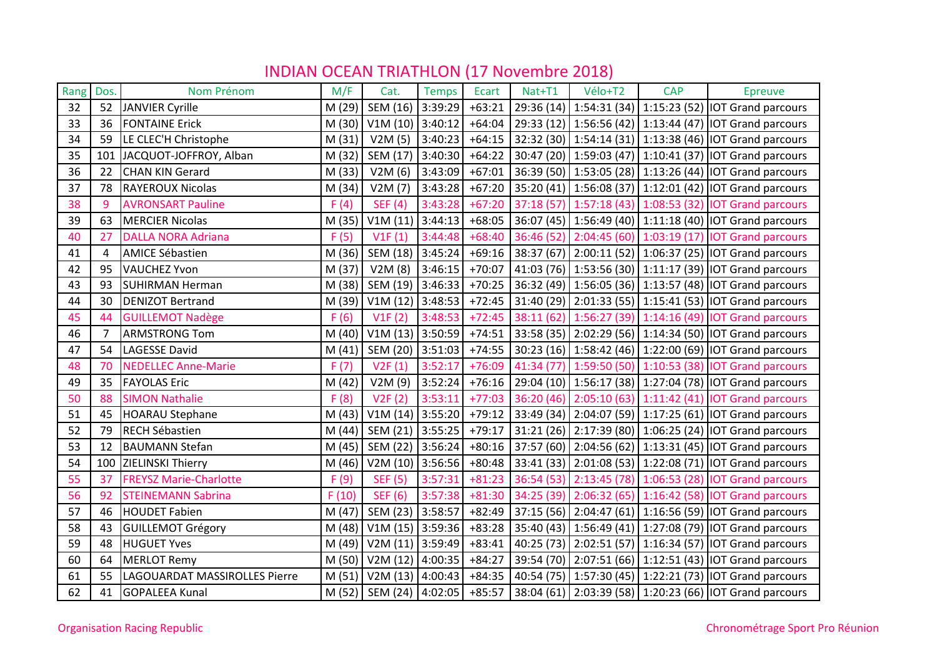| Rang | Dos. | Nom Prénom                    | M/F    | Cat.                | <b>Temps</b> | Ecart    | Nat+T1 | Vélo+T2 | <b>CAP</b> | <b>Epreuve</b>                                                         |
|------|------|-------------------------------|--------|---------------------|--------------|----------|--------|---------|------------|------------------------------------------------------------------------|
| 32   | 52   | <b>JANVIER Cyrille</b>        | M(29)  | SEM (16)            | 3:39:29      | $+63:21$ |        |         |            | 29:36 (14) 1:54:31 (34) 1:15:23 (52) IOT Grand parcours                |
| 33   | 36   | <b>FONTAINE Erick</b>         | M(30)  | V1M (10) 3:40:12    |              | $+64:04$ |        |         |            | 29:33 (12) 1:56:56 (42) 1:13:44 (47) IOT Grand parcours                |
| 34   | 59   | LE CLEC'H Christophe          | M(31)  | V2M(5)              | 3:40:23      | $+64:15$ |        |         |            | 32:32 (30) 1:54:14 (31) 1:13:38 (46) IOT Grand parcours                |
| 35   | 101  | JACQUOT-JOFFROY, Alban        | M(32)  | SEM (17)            | 3:40:30      | $+64:22$ |        |         |            | 30:47 (20) 1:59:03 (47) 1:10:41 (37) IOT Grand parcours                |
| 36   | 22   | <b>CHAN KIN Gerard</b>        | M (33) | V2M(6)              | 3:43:09      |          |        |         |            | +67:01 36:39 (50) 1:53:05 (28) 1:13:26 (44)   IOT Grand parcours       |
| 37   | 78   | <b>RAYEROUX Nicolas</b>       | M(34)  | V2M(7)              | 3:43:28      | $+67:20$ |        |         |            | 35:20 (41)   1:56:08 (37)   1:12:01 (42)   IOT Grand parcours          |
| 38   | 9    | <b>AVRONSART Pauline</b>      | F(4)   | <b>SEF (4)</b>      | 3:43:28      | $+67:20$ |        |         |            | 37:18 (57) 1:57:18 (43) 1:08:53 (32) IOT Grand parcours                |
| 39   | 63   | <b>MERCIER Nicolas</b>        | M(35)  | $V1M(11)$ 3:44:13   |              | $+68:05$ |        |         |            | 36:07 (45) 1:56:49 (40) 1:11:18 (40) IOT Grand parcours                |
| 40   | 27   | <b>DALLA NORA Adriana</b>     | F(5)   | V1F(1)              | 3:44:48      | $+68:40$ |        |         |            | 36:46 (52) 2:04:45 (60) 1:03:19 (17) IOT Grand parcours                |
| 41   | 4    | <b>AMICE Sébastien</b>        | M(36)  | SEM (18) 3:45:24    |              | $+69:16$ |        |         |            | 38:37 (67) 2:00:11 (52) 1:06:37 (25) IOT Grand parcours                |
| 42   | 95   | <b>VAUCHEZ Yvon</b>           | M (37) | V2M(8)              | 3:46:15      | $+70:07$ |        |         |            | 41:03 (76) 1:53:56 (30) 1:11:17 (39) IOT Grand parcours                |
| 43   | 93   | <b>SUHIRMAN Herman</b>        | M (38) | SEM (19) 3:46:33    |              |          |        |         |            | +70:25 36:32 (49) 1:56:05 (36) 1:13:57 (48) IOT Grand parcours         |
| 44   | 30   | <b>DENIZOT Bertrand</b>       | M (39) | V1M (12) 3:48:53    |              | $+72:45$ |        |         |            | 31:40 (29)   2:01:33 (55)   1:15:41 (53)   IOT Grand parcours          |
| 45   | 44   | <b>GUILLEMOT Nadège</b>       | F(6)   | V1F(2)              | 3:48:53      |          |        |         |            | +72:45 38:11 (62) 1:56:27 (39) 1:14:16 (49) IOT Grand parcours         |
| 46   | 7    | <b>ARMSTRONG Tom</b>          | M(40)  | V1M (13) 3:50:59    |              |          |        |         |            | +74:51 33:58 (35) 2:02:29 (56) 1:14:34 (50) IOT Grand parcours         |
| 47   | 54   | <b>LAGESSE David</b>          | M(41)  | SEM (20) 3:51:03    |              | $+74:55$ |        |         |            | 30:23 (16) 1:58:42 (46) 1:22:00 (69) IOT Grand parcours                |
| 48   | 70   | <b>NEDELLEC Anne-Marie</b>    | F(7)   | V2F(1)              | 3:52:17      | $+76:09$ |        |         |            | 41:34 (77) 1:59:50 (50) 1:10:53 (38) IOT Grand parcours                |
| 49   | 35   | <b>FAYOLAS Eric</b>           | M(42)  | V2M (9) $ 3:52:24 $ |              |          |        |         |            | +76:16   29:04 (10)   1:56:17 (38)   1:27:04 (78)   IOT Grand parcours |
| 50   | 88   | <b>SIMON Nathalie</b>         | F(8)   | V2F(2)              | 3:53:11      |          |        |         |            | +77:03 36:20 (46) 2:05:10 (63) 1:11:42 (41) IOT Grand parcours         |
| 51   | 45   | <b>HOARAU Stephane</b>        | M(43)  | V1M (14) $ 3:55:20$ |              |          |        |         |            | +79:12 33:49 (34) 2:04:07 (59) 1:17:25 (61) IOT Grand parcours         |
| 52   | 79   | <b>RECH Sébastien</b>         | M(44)  | SEM (21) 3:55:25    |              | $+79:17$ |        |         |            | 31:21 (26) 2:17:39 (80) 1:06:25 (24) IOT Grand parcours                |
| 53   | 12   | <b>BAUMANN Stefan</b>         | M(45)  | SEM (22) 3:56:24    |              | $+80:16$ |        |         |            | 37:57 (60)   2:04:56 (62)   1:13:31 (45)   IOT Grand parcours          |
| 54   |      | 100 ZIELINSKI Thierry         | M (46) | V2M (10) 3:56:56    |              | $+80:48$ |        |         |            | 33:41 (33) 2:01:08 (53) 1:22:08 (71) IOT Grand parcours                |
| 55   | 37   | <b>FREYSZ Marie-Charlotte</b> | F(9)   | <b>SEF (5)</b>      | 3:57:31      | $+81:23$ |        |         |            | 36:54 (53) 2:13:45 (78) 1:06:53 (28) IOT Grand parcours                |
| 56   | 92   | <b>STEINEMANN Sabrina</b>     | F(10)  | <b>SEF (6)</b>      | 3:57:38      | $+81:30$ |        |         |            | 34:25 (39) 2:06:32 (65) 1:16:42 (58) IOT Grand parcours                |
| 57   | 46   | <b>HOUDET Fabien</b>          | M (47) | SEM (23)            | 3:58:57      | $+82:49$ |        |         |            | 37:15 (56) 2:04:47 (61) 1:16:56 (59) IOT Grand parcours                |
| 58   | 43   | <b>GUILLEMOT Grégory</b>      | M (48) | V1M (15) 3:59:36    |              | $+83:28$ |        |         |            | 35:40 (43) 1:56:49 (41) 1:27:08 (79) IOT Grand parcours                |
| 59   | 48   | <b>HUGUET Yves</b>            | M (49) | V2M (11) 3:59:49    |              | $+83:41$ |        |         |            | 40:25 (73) 2:02:51 (57) 1:16:34 (57) IOT Grand parcours                |
| 60   | 64   | <b>MERLOT Remy</b>            | M(50)  | V2M (12) 4:00:35    |              | $+84:27$ |        |         |            | 39:54 (70) 2:07:51 (66) 1:12:51 (43) IOT Grand parcours                |
| 61   | 55   | LAGOUARDAT MASSIROLLES Pierre | M(51)  | V2M (13) $ 4:00:43$ |              | $+84:35$ |        |         |            | 40:54 (75) 1:57:30 (45) 1:22:21 (73) IOT Grand parcours                |
| 62   | 41   | <b>GOPALEEA Kunal</b>         | M(52)  | SEM (24) 4:02:05    |              | $+85:57$ |        |         |            | 38:04 (61) 2:03:39 (58) 1:20:23 (66) IOT Grand parcours                |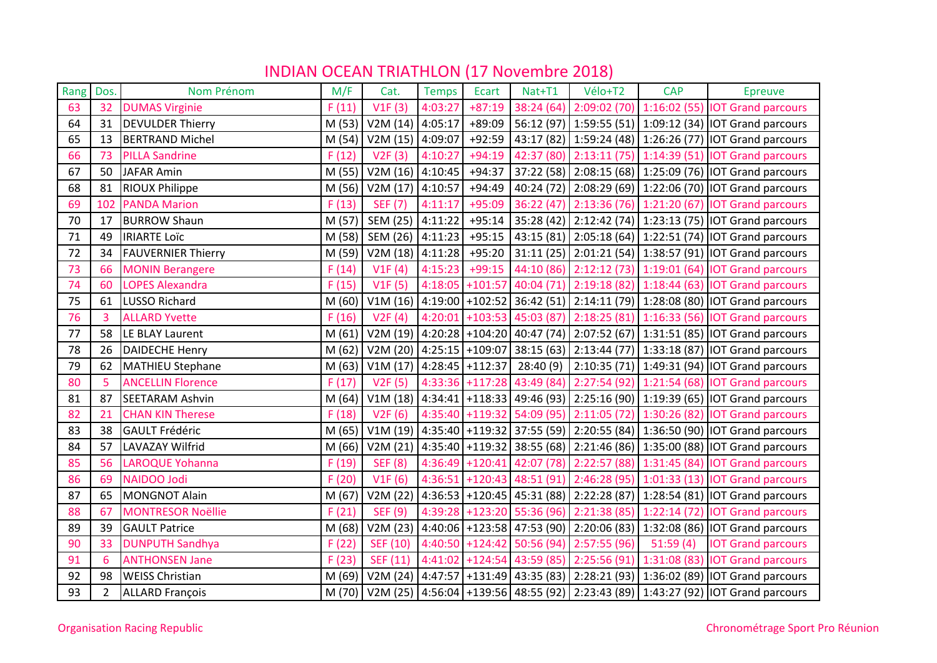| Rang | Dos.           | Nom Prénom                | M/F    | Cat.                        | <b>Temps</b> | Ecart    | Nat+T1 | Vélo+T2                                   | <b>CAP</b> | <b>Epreuve</b>                                                                          |
|------|----------------|---------------------------|--------|-----------------------------|--------------|----------|--------|-------------------------------------------|------------|-----------------------------------------------------------------------------------------|
| 63   | 32             | <b>DUMAS Virginie</b>     | F(11)  | V1F(3)                      | 4:03:27      | $+87:19$ |        |                                           |            | 38:24 (64) 2:09:02 (70) 1:16:02 (55) IOT Grand parcours                                 |
| 64   | 31             | <b>DEVULDER Thierry</b>   | M (53) | V2M(14)                     | 4:05:17      | $+89:09$ |        |                                           |            | 56:12 (97) 1:59:55 (51) 1:09:12 (34) IOT Grand parcours                                 |
| 65   | 13             | <b>BERTRAND Michel</b>    | M(54)  | V2M(15)                     | 4:09:07      | $+92:59$ |        |                                           |            | 43:17 (82) 1:59:24 (48) 1:26:26 (77) IOT Grand parcours                                 |
| 66   | 73             | <b>PILLA Sandrine</b>     | F(12)  | V2F(3)                      | 4:10:27      | $+94:19$ |        |                                           |            | 42:37 (80) 2:13:11 (75) 1:14:39 (51) IOT Grand parcours                                 |
| 67   | 50             | <b>JAFAR Amin</b>         | M (55) | V2M (16) $ 4:10:45 $        |              | $+94:37$ |        |                                           |            | 37:22 (58) 2:08:15 (68) 1:25:09 (76) 10T Grand parcours                                 |
| 68   | 81             | <b>RIOUX Philippe</b>     |        | M (56)   V2M (17)   4:10:57 |              | $+94:49$ |        |                                           |            | 40:24 (72) 2:08:29 (69) 1:22:06 (70) IOT Grand parcours                                 |
| 69   | 102            | <b>PANDA Marion</b>       | F(13)  | <b>SEF (7)</b>              | 4:11:17      | $+95:09$ |        |                                           |            | 36:22 (47) 2:13:36 (76) 1:21:20 (67) IOT Grand parcours                                 |
| 70   | 17             | <b>BURROW Shaun</b>       | M (57) | SEM (25)                    | 4:11:22      |          |        |                                           |            | +95:14   35:28 (42)   2:12:42 (74)   1:23:13 (75)   IOT Grand parcours                  |
| 71   | 49             | <b>IRIARTE LOÏC</b>       | M (58) | SEM (26) 4:11:23            |              | $+95:15$ |        |                                           |            | 43:15 (81) 2:05:18 (64) 1:22:51 (74) IOT Grand parcours                                 |
| 72   | 34             | <b>FAUVERNIER Thierry</b> | M (59) | V2M (18) $ 4:11:28 $        |              | $+95:20$ |        |                                           |            | 31:11 (25) 2:01:21 (54) 1:38:57 (91) IOT Grand parcours                                 |
| 73   | 66             | <b>MONIN Berangere</b>    | F(14)  | V1F(4)                      | 4:15:23      | $+99:15$ |        |                                           |            | 44:10 (86) 2:12:12 (73) 1:19:01 (64) IOT Grand parcours                                 |
| 74   | 60             | <b>LOPES Alexandra</b>    | F(15)  | V1F(5)                      |              |          |        |                                           |            | 4:18:05 +101:57 40:04 (71) 2:19:18 (82) 1:18:44 (63) IOT Grand parcours                 |
| 75   | 61             | LUSSO Richard             | M(60)  |                             |              |          |        |                                           |            | V1M (16) 4:19:00 +102:52 36:42 (51) 2:14:11 (79) 1:28:08 (80) IOT Grand parcours        |
| 76   | 3              | <b>ALLARD Yvette</b>      | F(16)  | V2F(4)                      |              |          |        |                                           |            | 4:20:01 +103:53 45:03 (87) 2:18:25 (81) 1:16:33 (56) IOT Grand parcours                 |
| 77   | 58             | LE BLAY Laurent           | M(61)  |                             |              |          |        |                                           |            | V2M (19) 4:20:28 +104:20 40:47 (74) 2:07:52 (67) 1:31:51 (85) IOT Grand parcours        |
| 78   | 26             | <b>DAIDECHE Henry</b>     | M (62) |                             |              |          |        |                                           |            | V2M (20) 4:25:15 +109:07 38:15 (63) 2:13:44 (77) 1:33:18 (87) IOT Grand parcours        |
| 79   | 62             | <b>MATHIEU Stephane</b>   | M (63) | $V1M (17)$ 4:28:45 +112:37  |              |          |        |                                           |            | 28:40 (9) 2:10:35 (71) 1:49:31 (94) IOT Grand parcours                                  |
| 80   | 5              | <b>ANCELLIN Florence</b>  | F(17)  | V2F(5)                      |              |          |        |                                           |            | 4:33:36 +117:28 43:49 (84) 2:27:54 (92) 1:21:54 (68) IOT Grand parcours                 |
| 81   | 87             | <b>SEETARAM Ashvin</b>    | M(64)  |                             |              |          |        |                                           |            | V1M (18) 4:34:41 +118:33 49:46 (93) 2:25:16 (90) 1:19:39 (65) IOT Grand parcours        |
| 82   | 21             | <b>CHAN KIN Therese</b>   | F(18)  | V2F(6)                      |              |          |        |                                           |            | 4:35:40 +119:32 54:09 (95) 2:11:05 (72) 1:30:26 (82) IOT Grand parcours                 |
| 83   | 38             | <b>GAULT Frédéric</b>     | M (65) |                             |              |          |        |                                           |            | V1M (19) 4:35:40 +119:32 37:55 (59) 2:20:55 (84) 1:36:50 (90) IOT Grand parcours        |
| 84   | 57             | <b>LAVAZAY Wilfrid</b>    | M (66) |                             |              |          |        |                                           |            | V2M (21) 4:35:40 +119:32 38:55 (68) 2:21:46 (86) 1:35:00 (88) IOT Grand parcours        |
| 85   | 56             | LAROQUE Yohanna           | F(19)  | <b>SEF (8)</b>              |              |          |        |                                           |            | 4:36:49 +120:41 42:07 (78) 2:22:57 (88) 1:31:45 (84) IOT Grand parcours                 |
| 86   | 69             | NAIDOO Jodi               | F(20)  | V1F(6)                      |              |          |        |                                           |            | 4:36:51 +120:43 48:51 (91) 2:46:28 (95) 1:01:33 (13) IOT Grand parcours                 |
| 87   | 65             | <b>MONGNOT Alain</b>      | M(67)  |                             |              |          |        |                                           |            | V2M (22) 4:36:53 +120:45 45:31 (88) 2:22:28 (87) 1:28:54 (81) IOT Grand parcours        |
| 88   | 67             | <b>MONTRESOR Noëllie</b>  | F(21)  | <b>SEF (9)</b>              |              |          |        |                                           |            | 4:39:28 +123:20 55:36 (96) 2:21:38 (85) 1:22:14 (72) IOT Grand parcours                 |
| 89   | 39             | <b>GAULT Patrice</b>      | M (68) | V2M(23)                     |              |          |        |                                           |            | 4:40:06 +123:58 47:53 (90) 2:20:06 (83) 1:32:08 (86) IOT Grand parcours                 |
| 90   | 33             | <b>DUNPUTH Sandhya</b>    | F(22)  | SEF (10)                    |              |          |        | $4:40:50$ +124:42 50:56 (94) 2:57:55 (96) | 51:59(4)   | <b>IOT Grand parcours</b>                                                               |
| 91   | 6              | <b>ANTHONSEN Jane</b>     | F(23)  | SEF (11)                    |              |          |        |                                           |            | 4:41:02 +124:54 43:59 (85) 2:25:56 (91) 1:31:08 (83) IOT Grand parcours                 |
| 92   | 98             | <b>WEISS Christian</b>    | M (69) |                             |              |          |        |                                           |            | V2M (24) 4:47:57 +131:49 43:35 (83) 2:28:21 (93) 1:36:02 (89) IOT Grand parcours        |
| 93   | $\overline{2}$ | <b>ALLARD François</b>    |        |                             |              |          |        |                                           |            | M (70) V2M (25) 4:56:04 +139:56 48:55 (92) 2:23:43 (89) 1:43:27 (92) IOT Grand parcours |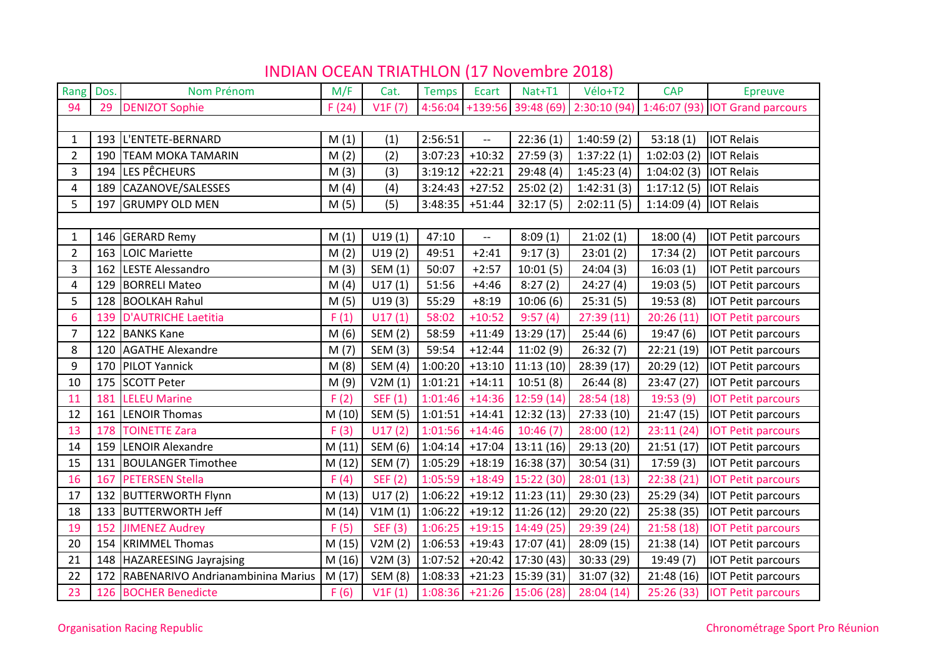| Rang           | Dos. | Nom Prénom                        | M/F    | Cat.           | <b>Temps</b> | Ecart                    | Nat+T1                      | Vélo+T2    | <b>CAP</b> | <b>Epreuve</b>                                                          |
|----------------|------|-----------------------------------|--------|----------------|--------------|--------------------------|-----------------------------|------------|------------|-------------------------------------------------------------------------|
| 94             | 29   | <b>DENIZOT Sophie</b>             | F(24)  | V1F(7)         |              |                          |                             |            |            | 4:56:04 +139:56 39:48 (69) 2:30:10 (94) 1:46:07 (93) IOT Grand parcours |
|                |      |                                   |        |                |              |                          |                             |            |            |                                                                         |
| 1              | 193  | L'ENTETE-BERNARD                  | M(1)   | (1)            | 2:56:51      | $\overline{\phantom{a}}$ | 22:36(1)                    | 1:40:59(2) | 53:18(1)   | <b>IOT Relais</b>                                                       |
| $\overline{2}$ | 190  | <b>TEAM MOKA TAMARIN</b>          | M(2)   | (2)            | 3:07:23      | $+10:32$                 | 27:59(3)                    | 1:37:22(1) | 1:02:03(2) | <b>IOT Relais</b>                                                       |
| 3              | 194  | LES PÊCHEURS                      | M(3)   | (3)            | 3:19:12      | $+22:21$                 | 29:48 (4)                   | 1:45:23(4) | 1:04:02(3) | <b>IOT Relais</b>                                                       |
| 4              | 189  | CAZANOVE/SALESSES                 | M(4)   | (4)            | 3:24:43      | $+27:52$                 | 25:02(2)                    | 1:42:31(3) | 1:17:12(5) | <b>IOT Relais</b>                                                       |
| 5              | 197  | <b>GRUMPY OLD MEN</b>             | M(5)   | (5)            | 3:48:35      | $+51:44$                 | 32:17(5)                    | 2:02:11(5) | 1:14:09(4) | <b>IOT Relais</b>                                                       |
|                |      |                                   |        |                |              |                          |                             |            |            |                                                                         |
| $\mathbf{1}$   | 146  | <b>GERARD Remy</b>                | M(1)   | U19(1)         | 47:10        | $\overline{\phantom{a}}$ | 8:09(1)                     | 21:02(1)   | 18:00(4)   | <b>IOT Petit parcours</b>                                               |
| $\overline{2}$ | 163  | LOIC Mariette                     | M(2)   | U19(2)         | 49:51        | $+2:41$                  | 9:17(3)                     | 23:01(2)   | 17:34(2)   | <b>IOT Petit parcours</b>                                               |
| 3              | 162  | <b>LESTE Alessandro</b>           | M(3)   | SEM (1)        | 50:07        | $+2:57$                  | 10:01(5)                    | 24:04(3)   | 16:03(1)   | <b>IOT Petit parcours</b>                                               |
| $\overline{4}$ | 129  | <b>BORRELI Mateo</b>              | M(4)   | U17(1)         | 51:56        | $+4:46$                  | 8:27(2)                     | 24:27(4)   | 19:03(5)   | <b>IOT Petit parcours</b>                                               |
| 5              | 128  | <b>BOOLKAH Rahul</b>              | M(5)   | U19(3)         | 55:29        | $+8:19$                  | 10:06(6)                    | 25:31(5)   | 19:53(8)   | <b>IOT Petit parcours</b>                                               |
| 6              | 139  | <b>D'AUTRICHE Laetitia</b>        | F(1)   | U17(1)         | 58:02        | $+10:52$                 | 9:57(4)                     | 27:39(11)  | 20:26(11)  | <b>IOT Petit parcours</b>                                               |
| $\overline{7}$ | 122  | <b>BANKS Kane</b>                 | M(6)   | <b>SEM (2)</b> | 58:59        | $+11:49$                 | 13:29 (17)                  | 25:44(6)   | 19:47(6)   | <b>IOT Petit parcours</b>                                               |
| 8              | 120  | <b>AGATHE Alexandre</b>           | M(7)   | <b>SEM (3)</b> | 59:54        | $+12:44$                 | 11:02(9)                    | 26:32(7)   | 22:21 (19) | <b>IOT Petit parcours</b>                                               |
| 9              | 170  | PILOT Yannick                     | M(8)   | SEM (4)        | 1:00:20      | $+13:10$                 | 11:13(10)                   | 28:39 (17) | 20:29 (12) | <b>IOT Petit parcours</b>                                               |
| 10             | 175  | <b>SCOTT Peter</b>                | M(9)   | V2M(1)         | 1:01:21      | $+14:11$                 | 10:51(8)                    | 26:44 (8)  | 23:47 (27) | <b>IOT Petit parcours</b>                                               |
| 11             | 181  | <b>LELEU Marine</b>               | F(2)   | SEF (1)        | 1:01:46      | $+14:36$                 | 12:59(14)                   | 28:54 (18) | 19:53 (9)  | <b>IOT Petit parcours</b>                                               |
| 12             | 161  | <b>LENOIR Thomas</b>              | M(10)  | <b>SEM (5)</b> | 1:01:51      | $+14:41$                 | 12:32(13)                   | 27:33 (10) | 21:47 (15) | <b>IOT Petit parcours</b>                                               |
| 13             | 178  | <b>TOINETTE Zara</b>              | F(3)   | U17(2)         | 1:01:56      | $+14:46$                 | 10:46(7)                    | 28:00(12)  | 23:11(24)  | <b>IOT Petit parcours</b>                                               |
| 14             | 159  | LENOIR Alexandre                  | M(11)  | SEM (6)        | 1:04:14      | $+17:04$                 | 13:11(16)                   | 29:13 (20) | 21:51(17)  | <b>IOT Petit parcours</b>                                               |
| 15             | 131  | <b>BOULANGER Timothee</b>         | M(12)  | <b>SEM (7)</b> | 1:05:29      | $+18:19$                 | 16:38(37)                   | 30:54 (31) | 17:59(3)   | <b>IOT Petit parcours</b>                                               |
| 16             | 167  | <b>PETERSEN Stella</b>            | F(4)   | <b>SEF (2)</b> | 1:05:59      | $+18:49$                 | 15:22(30)                   | 28:01(13)  | 22:38 (21) | <b>IOT Petit parcours</b>                                               |
| 17             | 132  | <b>BUTTERWORTH Flynn</b>          | M(13)  | U17(2)         | 1:06:22      | $+19:12$                 | 11:23(11)                   | 29:30 (23) | 25:29 (34) | <b>IOT Petit parcours</b>                                               |
| 18             | 133  | <b>BUTTERWORTH Jeff</b>           | M(14)  | V1M(1)         | 1:06:22      | $+19:12$                 | 11:26(12)                   | 29:20 (22) | 25:38 (35) | <b>IOT Petit parcours</b>                                               |
| 19             | 152  | <b>JIMENEZ Audrey</b>             | F(5)   | <b>SEF (3)</b> | 1:06:25      | $+19:15$                 | 14:49 (25)                  | 29:39 (24) | 21:58(18)  | <b>IOT Petit parcours</b>                                               |
| 20             | 154  | <b>KRIMMEL Thomas</b>             | M (15) | V2M(2)         | 1:06:53      | $+19:43$                 | 17:07(41)                   | 28:09 (15) | 21:38(14)  | <b>IOT Petit parcours</b>                                               |
| 21             |      | 148 HAZAREESING Jayrajsing        | M (16) | V2M(3)         | 1:07:52      | $+20:42$                 | 17:30 (43)                  | 30:33 (29) | 19:49 (7)  | <b>IOT Petit parcours</b>                                               |
| 22             | 172  | RABENARIVO Andrianambinina Marius | M(17)  | <b>SEM (8)</b> | 1:08:33      | $+21:23$                 | 15:39 (31)                  | 31:07 (32) | 21:48 (16) | <b>IOT Petit parcours</b>                                               |
| 23             |      | 126 BOCHER Benedicte              | F(6)   | V1F(1)         |              |                          | $1:08:36$ +21:26 15:06 (28) | 28:04(14)  |            | 25:26 (33) IOT Petit parcours                                           |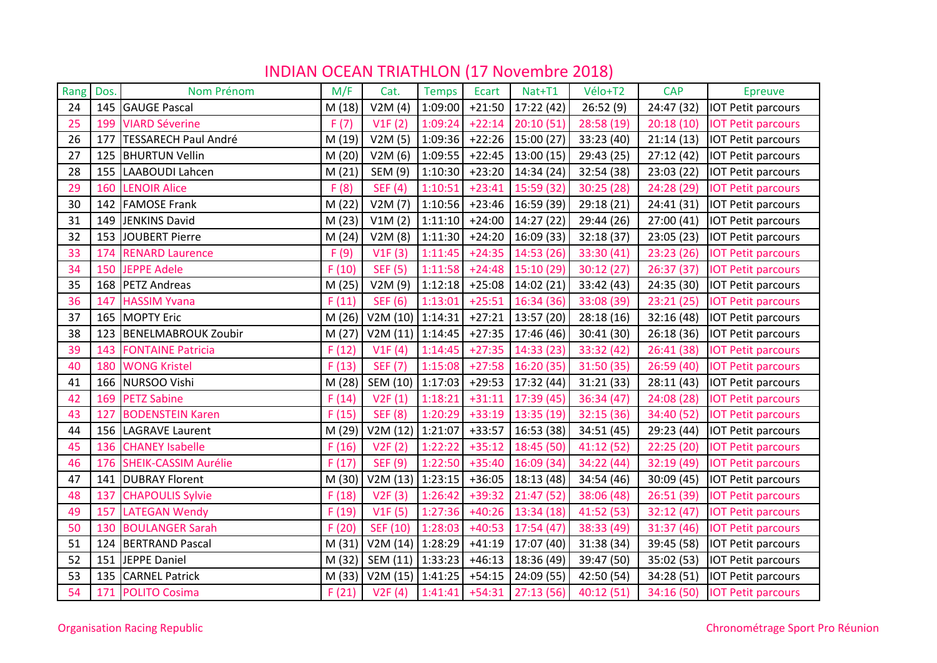| Rang | Dos. | Nom Prénom                  | M/F    | Cat.               | <b>Temps</b> | Ecart    | Nat+T1     | Vélo+T2    | <b>CAP</b> | <b>Epreuve</b>            |
|------|------|-----------------------------|--------|--------------------|--------------|----------|------------|------------|------------|---------------------------|
| 24   | 145  | <b>GAUGE Pascal</b>         | M (18) | V2M(4)             | 1:09:00      | $+21:50$ | 17:22 (42) | 26:52(9)   | 24:47 (32) | <b>IOT Petit parcours</b> |
| 25   | 199  | <b>VIARD Séverine</b>       | F(7)   | V1F(2)             | 1:09:24      | $+22:14$ | 20:10(51)  | 28:58 (19) | 20:18(10)  | <b>IOT Petit parcours</b> |
| 26   | 177  | <b>TESSARECH Paul André</b> | M (19) | V2M(5)             | 1:09:36      | $+22:26$ | 15:00 (27) | 33:23 (40) | 21:14(13)  | <b>IOT Petit parcours</b> |
| 27   | 125  | <b>BHURTUN Vellin</b>       | M(20)  | V2M(6)             | 1:09:55      | $+22:45$ | 13:00(15)  | 29:43 (25) | 27:12 (42) | IOT Petit parcours        |
| 28   | 155  | LAABOUDI Lahcen             | M(21)  | SEM (9)            | 1:10:30      | $+23:20$ | 14:34 (24) | 32:54 (38) | 23:03 (22) | <b>IOT Petit parcours</b> |
| 29   | 160  | <b>LENOIR Alice</b>         | F(8)   | <b>SEF</b> (4)     | 1:10:51      | $+23:41$ | 15:59 (32) | 30:25(28)  | 24:28 (29) | <b>IOT Petit parcours</b> |
| 30   | 142  | <b>FAMOSE Frank</b>         | M(22)  | V2M(7)             | 1:10:56      | $+23:46$ | 16:59 (39) | 29:18 (21) | 24:41 (31) | <b>IOT Petit parcours</b> |
| 31   | 149  | <b>JENKINS David</b>        | M(23)  | V1M(2)             | 1:11:10      | $+24:00$ | 14:27 (22) | 29:44 (26) | 27:00 (41) | <b>IOT Petit parcours</b> |
| 32   | 153  | <b>JOUBERT Pierre</b>       | M(24)  | V2M(8)             | 1:11:30      | $+24:20$ | 16:09 (33) | 32:18(37)  | 23:05 (23) | <b>IOT Petit parcours</b> |
| 33   | 174  | <b>RENARD Laurence</b>      | F(9)   | V1F(3)             | 1:11:45      | $+24:35$ | 14:53(26)  | 33:30 (41) | 23:23(26)  | <b>IOT Petit parcours</b> |
| 34   | 150  | <b>JEPPE Adele</b>          | F(10)  | <b>SEF (5)</b>     | 1:11:58      | $+24:48$ | 15:10(29)  | 30:12(27)  | 26:37 (37) | <b>IOT Petit parcours</b> |
| 35   | 168  | <b>PETZ Andreas</b>         | M(25)  | V2M(9)             | 1:12:18      | $+25:08$ | 14:02 (21) | 33:42 (43) | 24:35 (30) | <b>IOT Petit parcours</b> |
| 36   | 147  | <b>HASSIM Yvana</b>         | F(11)  | <b>SEF (6)</b>     | 1:13:01      | $+25:51$ | 16:34(36)  | 33:08 (39) | 23:21(25)  | <b>IOT Petit parcours</b> |
| 37   | 165  | <b>MOPTY Eric</b>           | M(26)  | V2M (10) $1:14:31$ |              | $+27:21$ | 13:57 (20) | 28:18(16)  | 32:16 (48) | <b>IOT Petit parcours</b> |
| 38   | 123  | <b>BENELMABROUK Zoubir</b>  | M(27)  | V2M (11) 1:14:45   |              | $+27:35$ | 17:46 (46) | 30:41 (30) | 26:18 (36) | <b>IOT Petit parcours</b> |
| 39   | 143  | <b>FONTAINE Patricia</b>    | F(12)  | V1F(4)             | 1:14:45      | $+27:35$ | 14:33(23)  | 33:32 (42) | 26:41 (38) | <b>IOT Petit parcours</b> |
| 40   | 180  | <b>WONG Kristel</b>         | F(13)  | <b>SEF (7)</b>     | 1:15:08      | $+27:58$ | 16:20(35)  | 31:50 (35) | 26:59 (40) | <b>IOT Petit parcours</b> |
| 41   | 166  | NURSOO Vishi                | M (28) | SEM (10) 1:17:03   |              | $+29:53$ | 17:32 (44) | 31:21(33)  | 28:11 (43) | <b>IOT Petit parcours</b> |
| 42   | 169  | <b>PETZ Sabine</b>          | F(14)  | V2F(1)             | 1:18:21      | $+31:11$ | 17:39(45)  | 36:34(47)  | 24:08 (28) | <b>IOT Petit parcours</b> |
| 43   | 127  | <b>BODENSTEIN Karen</b>     | F(15)  | <b>SEF (8)</b>     | 1:20:29      | $+33:19$ | 13:35(19)  | 32:15(36)  | 34:40 (52) | <b>IOT Petit parcours</b> |
| 44   | 156  | <b>LAGRAVE Laurent</b>      | M (29) | V2M (12) 1:21:07   |              | $+33:57$ | 16:53 (38) | 34:51 (45) | 29:23 (44) | <b>IOT Petit parcours</b> |
| 45   | 136  | <b>CHANEY Isabelle</b>      | F(16)  | V2F(2)             | 1:22:22      | $+35:12$ | 18:45 (50) | 41:12 (52) | 22:25(20)  | <b>IOT Petit parcours</b> |
| 46   | 176  | <b>SHEIK-CASSIM Aurélie</b> | F(17)  | <b>SEF (9)</b>     | 1:22:50      | $+35:40$ | 16:09(34)  | 34:22 (44) | 32:19 (49) | <b>IOT Petit parcours</b> |
| 47   | 141  | <b>DUBRAY Florent</b>       | M (30) | V2M (13) 1:23:15   |              | $+36:05$ | 18:13 (48) | 34:54 (46) | 30:09 (45) | <b>IOT Petit parcours</b> |
| 48   | 137  | <b>CHAPOULIS Sylvie</b>     | F(18)  | V2F(3)             | 1:26:42      | $+39:32$ | 21:47(52)  | 38:06 (48) | 26:51 (39) | <b>IOT Petit parcours</b> |
| 49   | 157  | <b>LATEGAN Wendy</b>        | F(19)  | V1F(5)             | 1:27:36      | $+40:26$ | 13:34(18)  | 41:52 (53) | 32:12 (47) | <b>IOT Petit parcours</b> |
| 50   | 130  | <b>BOULANGER Sarah</b>      | F(20)  | SEF (10)           | 1:28:03      | $+40:53$ | 17:54(47)  | 38:33 (49) | 31:37 (46) | <b>IOT Petit parcours</b> |
| 51   | 124  | <b>BERTRAND Pascal</b>      | M(31)  | V2M (14) 1:28:29   |              | $+41:19$ | 17:07 (40) | 31:38 (34) | 39:45 (58) | <b>IOT Petit parcours</b> |
| 52   | 151  | JEPPE Daniel                | M (32) | SEM (11) 1:33:23   |              | $+46:13$ | 18:36 (49) | 39:47 (50) | 35:02 (53) | <b>IOT Petit parcours</b> |
| 53   | 135  | <b>CARNEL Patrick</b>       | M (33) | V2M (15) 1:41:25   |              | $+54:15$ | 24:09 (55) | 42:50 (54) | 34:28 (51) | <b>IOT Petit parcours</b> |
| 54   | 171  | <b>POLITO Cosima</b>        | F(21)  | V2F(4)             | 1:41:41      | $+54:31$ | 27:13(56)  | 40:12 (51) | 34:16 (50) | <b>IOT Petit parcours</b> |